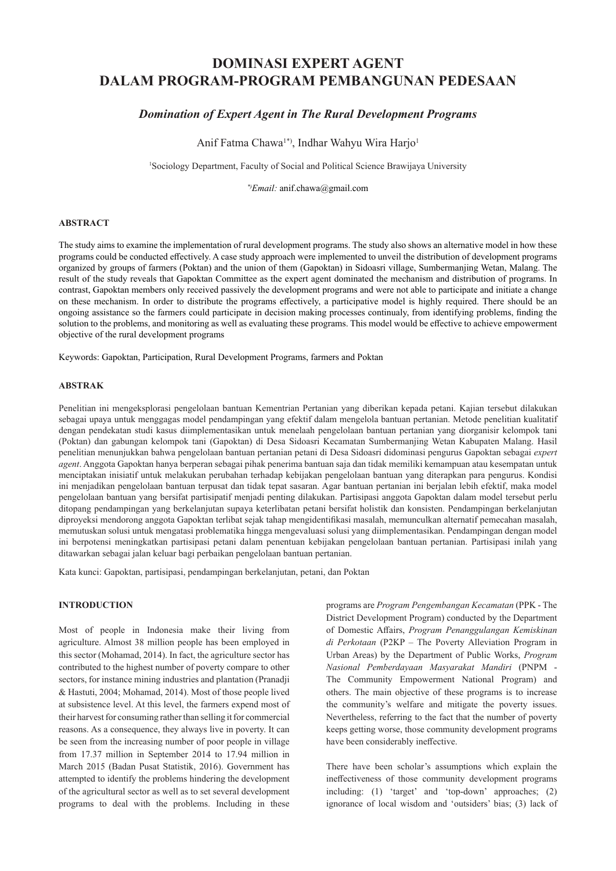# **DOMINASI EXPERT AGENT DALAM PROGRAM-PROGRAM PEMBANGUNAN PEDESAAN**

# *Domination of Expert Agent in The Rural Development Programs*

Anif Fatma Chawa<sup>1\*</sup>, Indhar Wahyu Wira Harjo<sup>1</sup>

<sup>1</sup>Sociology Department, Faculty of Social and Political Science Brawijaya University

*\*)Email:* anif.chawa@gmail.com

#### **ABSTRACT**

The study aims to examine the implementation of rural development programs. The study also shows an alternative model in how these programs could be conducted effectively. A case study approach were implemented to unveil the distribution of development programs organized by groups of farmers (Poktan) and the union of them (Gapoktan) in Sidoasri village, Sumbermanjing Wetan, Malang. The result of the study reveals that Gapoktan Committee as the expert agent dominated the mechanism and distribution of programs. In contrast, Gapoktan members only received passively the development programs and were not able to participate and initiate a change on these mechanism. In order to distribute the programs effectively, a participative model is highly required. There should be an ongoing assistance so the farmers could participate in decision making processes continualy, from identifying problems, finding the solution to the problems, and monitoring as well as evaluating these programs. This model would be effective to achieve empowerment objective of the rural development programs

Keywords: Gapoktan, Participation, Rural Development Programs, farmers and Poktan

#### **ABSTRAK**

Penelitian ini mengeksplorasi pengelolaan bantuan Kementrian Pertanian yang diberikan kepada petani. Kajian tersebut dilakukan sebagai upaya untuk menggagas model pendampingan yang efektif dalam mengelola bantuan pertanian. Metode penelitian kualitatif dengan pendekatan studi kasus diimplementasikan untuk menelaah pengelolaan bantuan pertanian yang diorganisir kelompok tani (Poktan) dan gabungan kelompok tani (Gapoktan) di Desa Sidoasri Kecamatan Sumbermanjing Wetan Kabupaten Malang. Hasil penelitian menunjukkan bahwa pengelolaan bantuan pertanian petani di Desa Sidoasri didominasi pengurus Gapoktan sebagai *expert agent*. Anggota Gapoktan hanya berperan sebagai pihak penerima bantuan saja dan tidak memiliki kemampuan atau kesempatan untuk menciptakan inisiatif untuk melakukan perubahan terhadap kebijakan pengelolaan bantuan yang diterapkan para pengurus. Kondisi ini menjadikan pengelolaan bantuan terpusat dan tidak tepat sasaran. Agar bantuan pertanian ini berjalan lebih efektif, maka model pengelolaan bantuan yang bersifat partisipatif menjadi penting dilakukan. Partisipasi anggota Gapoktan dalam model tersebut perlu ditopang pendampingan yang berkelanjutan supaya keterlibatan petani bersifat holistik dan konsisten. Pendampingan berkelanjutan diproyeksi mendorong anggota Gapoktan terlibat sejak tahap mengidentifikasi masalah, memunculkan alternatif pemecahan masalah, memutuskan solusi untuk mengatasi problematika hingga mengevaluasi solusi yang diimplementasikan. Pendampingan dengan model ini berpotensi meningkatkan partisipasi petani dalam penentuan kebijakan pengelolaan bantuan pertanian. Partisipasi inilah yang ditawarkan sebagai jalan keluar bagi perbaikan pengelolaan bantuan pertanian.

Kata kunci: Gapoktan, partisipasi, pendampingan berkelanjutan, petani, dan Poktan

## **INTRODUCTION**

Most of people in Indonesia make their living from agriculture. Almost 38 million people has been employed in this sector (Mohamad, 2014). In fact, the agriculture sector has contributed to the highest number of poverty compare to other sectors, for instance mining industries and plantation (Pranadji & Hastuti, 2004; Mohamad, 2014). Most of those people lived at subsistence level. At this level, the farmers expend most of their harvest for consuming rather than selling it for commercial reasons. As a consequence, they always live in poverty. It can be seen from the increasing number of poor people in village from 17.37 million in September 2014 to 17.94 million in March 2015 (Badan Pusat Statistik, 2016). Government has attempted to identify the problems hindering the development of the agricultural sector as well as to set several development programs to deal with the problems. Including in these

programs are *Program Pengembangan Kecamatan* (PPK - The District Development Program) conducted by the Department of Domestic Affairs, *Program Penanggulangan Kemiskinan di Perkotaan* (P2KP – The Poverty Alleviation Program in Urban Areas) by the Department of Public Works, *Program Nasional Pemberdayaan Masyarakat Mandiri* (PNPM - The Community Empowerment National Program) and others. The main objective of these programs is to increase the community's welfare and mitigate the poverty issues. Nevertheless, referring to the fact that the number of poverty keeps getting worse, those community development programs have been considerably ineffective.

There have been scholar's assumptions which explain the ineffectiveness of those community development programs including: (1) 'target' and 'top-down' approaches; (2) ignorance of local wisdom and 'outsiders' bias; (3) lack of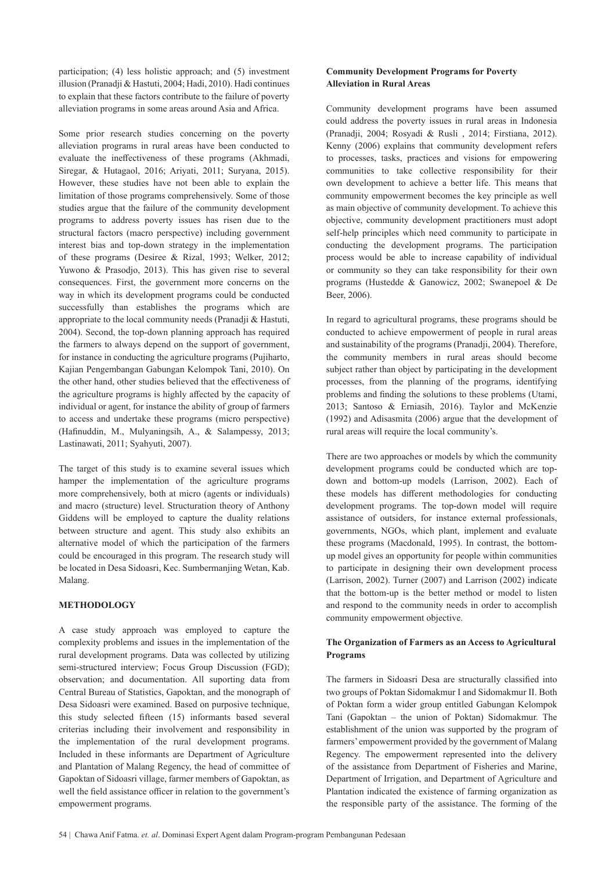participation; (4) less holistic approach; and (5) investment illusion (Pranadji & Hastuti, 2004; Hadi, 2010). Hadi continues to explain that these factors contribute to the failure of poverty alleviation programs in some areas around Asia and Africa.

Some prior research studies concerning on the poverty alleviation programs in rural areas have been conducted to evaluate the ineffectiveness of these programs (Akhmadi, Siregar, & Hutagaol, 2016; Ariyati, 2011; Suryana, 2015). However, these studies have not been able to explain the limitation of those programs comprehensively. Some of those studies argue that the failure of the community development programs to address poverty issues has risen due to the structural factors (macro perspective) including government interest bias and top-down strategy in the implementation of these programs (Desiree & Rizal, 1993; Welker, 2012; Yuwono & Prasodjo, 2013). This has given rise to several consequences. First, the government more concerns on the way in which its development programs could be conducted successfully than establishes the programs which are appropriate to the local community needs (Pranadji & Hastuti, 2004). Second, the top-down planning approach has required the farmers to always depend on the support of government, for instance in conducting the agriculture programs (Pujiharto, Kajian Pengembangan Gabungan Kelompok Tani, 2010). On the other hand, other studies believed that the effectiveness of the agriculture programs is highly affected by the capacity of individual or agent, for instance the ability of group of farmers to access and undertake these programs (micro perspective) (Hafinuddin, M., Mulyaningsih, A., & Salampessy, 2013; Lastinawati, 2011; Syahyuti, 2007).

The target of this study is to examine several issues which hamper the implementation of the agriculture programs more comprehensively, both at micro (agents or individuals) and macro (structure) level. Structuration theory of Anthony Giddens will be employed to capture the duality relations between structure and agent. This study also exhibits an alternative model of which the participation of the farmers could be encouraged in this program. The research study will be located in Desa Sidoasri, Kec. Sumbermanjing Wetan, Kab. Malang.

#### **METHODOLOGY**

A case study approach was employed to capture the complexity problems and issues in the implementation of the rural development programs. Data was collected by utilizing semi-structured interview; Focus Group Discussion (FGD); observation; and documentation. All suporting data from Central Bureau of Statistics, Gapoktan, and the monograph of Desa Sidoasri were examined. Based on purposive technique, this study selected fifteen (15) informants based several criterias including their involvement and responsibility in the implementation of the rural development programs. Included in these informants are Department of Agriculture and Plantation of Malang Regency, the head of committee of Gapoktan of Sidoasri village, farmer members of Gapoktan, as well the field assistance officer in relation to the government's empowerment programs.

#### **Community Development Programs for Poverty Alleviation in Rural Areas**

Community development programs have been assumed could address the poverty issues in rural areas in Indonesia (Pranadji, 2004; Rosyadi & Rusli , 2014; Firstiana, 2012). Kenny (2006) explains that community development refers to processes, tasks, practices and visions for empowering communities to take collective responsibility for their own development to achieve a better life. This means that community empowerment becomes the key principle as well as main objective of community development. To achieve this objective, community development practitioners must adopt self-help principles which need community to participate in conducting the development programs. The participation process would be able to increase capability of individual or community so they can take responsibility for their own programs (Hustedde & Ganowicz, 2002; Swanepoel & De Beer, 2006).

In regard to agricultural programs, these programs should be conducted to achieve empowerment of people in rural areas and sustainability of the programs (Pranadji, 2004). Therefore, the community members in rural areas should become subject rather than object by participating in the development processes, from the planning of the programs, identifying problems and finding the solutions to these problems (Utami, 2013; Santoso & Erniasih, 2016). Taylor and McKenzie (1992) and Adisasmita (2006) argue that the development of rural areas will require the local community's.

There are two approaches or models by which the community development programs could be conducted which are topdown and bottom-up models (Larrison, 2002). Each of these models has different methodologies for conducting development programs. The top-down model will require assistance of outsiders, for instance external professionals, governments, NGOs, which plant, implement and evaluate these programs (Macdonald, 1995). In contrast, the bottomup model gives an opportunity for people within communities to participate in designing their own development process (Larrison, 2002). Turner (2007) and Larrison (2002) indicate that the bottom-up is the better method or model to listen and respond to the community needs in order to accomplish community empowerment objective.

#### **The Organization of Farmers as an Access to Agricultural Programs**

The farmers in Sidoasri Desa are structurally classified into two groups of Poktan Sidomakmur I and Sidomakmur II. Both of Poktan form a wider group entitled Gabungan Kelompok Tani (Gapoktan – the union of Poktan) Sidomakmur. The establishment of the union was supported by the program of farmers' empowerment provided by the government of Malang Regency. The empowerment represented into the delivery of the assistance from Department of Fisheries and Marine, Department of Irrigation, and Department of Agriculture and Plantation indicated the existence of farming organization as the responsible party of the assistance. The forming of the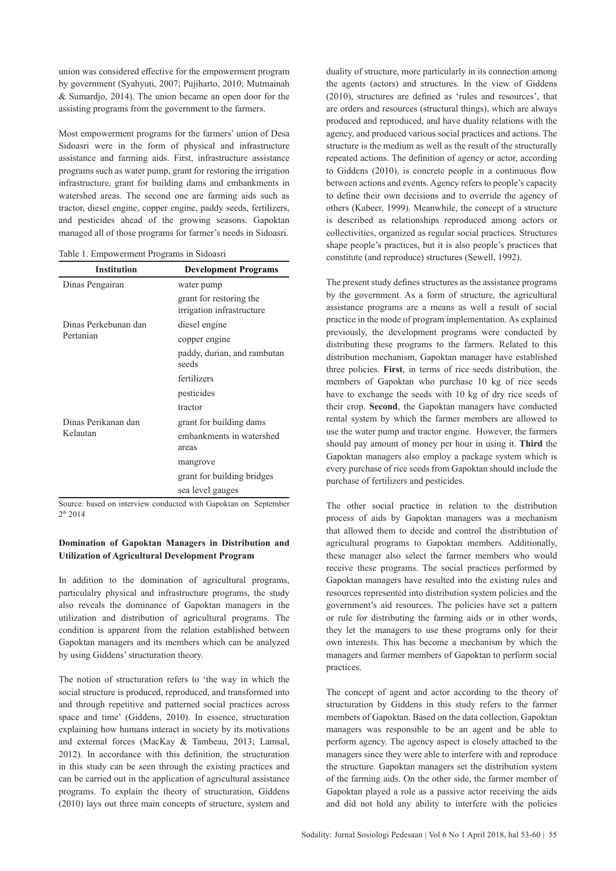union was considered effective for the empowerment program by government (Syahyuti, 2007; Pujiharto, 2010; Mutmainah & Sumardjo, 2014). The union became an open door for the assisting programs from the government to the farmers.

Most empowerment programs for the farmers' union of Desa Sidoasri were in the form of physical and infrastructure assistance and farming aids. First, infrastructure assistance programs such as water pump, grant for restoring the irrigation infrastructure, grant for building dams and embankments in watershed areas. The second one are farming aids such as tractor, diesel engine, copper engine, paddy seeds, fertilizers, and pesticides ahead of the growing seasons. Gapoktan managed all of those programs for farmer's needs in Sidoasri.

|  | Table 1. Empowerment Programs in Sidoasri |  |  |
|--|-------------------------------------------|--|--|
|  |                                           |  |  |

| <b>Institution</b>   | <b>Development Programs</b>                          |  |
|----------------------|------------------------------------------------------|--|
| Dinas Pengairan      | water pump                                           |  |
|                      | grant for restoring the<br>irrigation infrastructure |  |
| Dinas Perkebunan dan | diesel engine                                        |  |
| Pertanian            | copper engine                                        |  |
|                      | paddy, durian, and rambutan<br>seeds                 |  |
|                      | fertilizers                                          |  |
|                      | pesticides                                           |  |
|                      | tractor                                              |  |
| Dinas Perikanan dan  | grant for building dams                              |  |
| Kelautan             | embankments in watershed<br>areas                    |  |
|                      | mangrove                                             |  |
|                      | grant for building bridges                           |  |
|                      | sea level gauges                                     |  |

Source: based on interview conducted with Gapoktan on September 2th 2014

## **Domination of Gapoktan Managers in Distribution and Utilization of Agricultural Development Program**

In addition to the domination of agricultural programs, particulalry physical and infrastructure programs, the study also reveals the dominance of Gapoktan managers in the utilization and distribution of agricultural programs. The condition is apparent from the relation established between Gapoktan managers and its members which can be analyzed by using Giddens' structuration theory.

The notion of structuration refers to 'the way in which the social structure is produced, reproduced, and transformed into and through repetitive and patterned social practices across space and time' (Giddens, 2010). In essence, structuration explaining how humans interact in society by its motivations and external forces (MacKay & Tambeau, 2013; Lamsal, 2012). In accordance with this definition, the structuration in this study can be seen through the existing practices and can be carried out in the application of agricultural assistance programs. To explain the theory of structuration, Giddens (2010) lays out three main concepts of structure, system and

duality of structure, more particularly in its connection among the agents (actors) and structures. In the view of Giddens (2010), structures are defined as 'rules and resources', that are orders and resources (structural things), which are always produced and reproduced, and have duality relations with the agency, and produced various social practices and actions. The structure is the medium as well as the result of the structurally repeated actions. The definition of agency or actor, according to Giddens (2010), is concrete people in a continuous flow between actions and events. Agency refers to people's capacity to define their own decisions and to override the agency of others (Kabeer, 1999). Meanwhile, the concept of a structure is described as relationships reproduced among actors or collectivities, organized as regular social practices. Structures shape people's practices, but it is also people's practices that constitute (and reproduce) structures (Sewell, 1992).

The present study defines structures as the assistance programs by the government. As a form of structure, the agricultural assistance programs are a means as well a result of social practice in the mode of program implementation. As explained previously, the development programs were conducted by distributing these programs to the farmers. Related to this distribution mechanism, Gapoktan manager have established three policies. **First**, in terms of rice seeds distribution, the members of Gapoktan who purchase 10 kg of rice seeds have to exchange the seeds with 10 kg of dry rice seeds of their crop. **Second**, the Gapoktan managers have conducted rental system by which the farmer members are allowed to use the water pump and tractor engine. However, the farmers should pay amount of money per hour in using it. **Third** the Gapoktan managers also employ a package system which is every purchase of rice seeds from Gapoktan should include the purchase of fertilizers and pesticides.

The other social practice in relation to the distribution process of aids by Gapoktan managers was a mechanism that allowed them to decide and control the distribtution of agricultural programs to Gapoktan members. Additionally, these manager also select the farmer members who would receive these programs. The social practices performed by Gapoktan managers have resulted into the existing rules and resources represented into distribution system policies and the government's aid resources. The policies have set a pattern or rule for distributing the farming aids or in other words, they let the managers to use these programs only for their own interests. This has become a mechanism by which the managers and farmer members of Gapoktan to perform social practices.

The concept of agent and actor according to the theory of structuration by Giddens in this study refers to the farmer members of Gapoktan. Based on the data collection, Gapoktan managers was responsible to be an agent and be able to perform agency. The agency aspect is closely attached to the managers since they were able to interfere with and reproduce the structure. Gapoktan managers set the distribution system of the farming aids. On the other side, the farmer member of Gapoktan played a role as a passive actor receiving the aids and did not hold any ability to interfere with the policies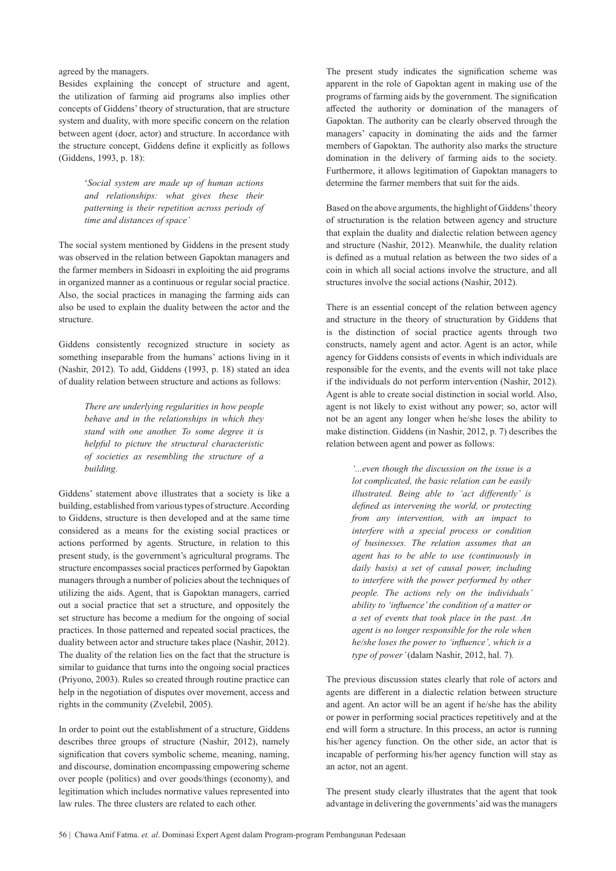#### agreed by the managers.

Besides explaining the concept of structure and agent, the utilization of farming aid programs also implies other concepts of Giddens' theory of structuration, that are structure system and duality, with more specific concern on the relation between agent (doer, actor) and structure. In accordance with the structure concept, Giddens define it explicitly as follows (Giddens, 1993, p. 18):

> '*Social system are made up of human actions and relationships: what gives these their patterning is their repetition across periods of time and distances of space'*

The social system mentioned by Giddens in the present study was observed in the relation between Gapoktan managers and the farmer members in Sidoasri in exploiting the aid programs in organized manner as a continuous or regular social practice. Also, the social practices in managing the farming aids can also be used to explain the duality between the actor and the structure.

Giddens consistently recognized structure in society as something inseparable from the humans' actions living in it (Nashir, 2012). To add, Giddens (1993, p. 18) stated an idea of duality relation between structure and actions as follows:

> *There are underlying regularities in how people behave and in the relationships in which they stand with one another. To some degree it is helpful to picture the structural characteristic of societies as resembling the structure of a building.*

Giddens' statement above illustrates that a society is like a building, established from various types of structure. According to Giddens, structure is then developed and at the same time considered as a means for the existing social practices or actions performed by agents. Structure, in relation to this present study, is the government's agricultural programs. The structure encompasses social practices performed by Gapoktan managers through a number of policies about the techniques of utilizing the aids. Agent, that is Gapoktan managers, carried out a social practice that set a structure, and oppositely the set structure has become a medium for the ongoing of social practices. In those patterned and repeated social practices, the duality between actor and structure takes place (Nashir, 2012). The duality of the relation lies on the fact that the structure is similar to guidance that turns into the ongoing social practices (Priyono, 2003). Rules so created through routine practice can help in the negotiation of disputes over movement, access and rights in the community (Zvelebil, 2005).

In order to point out the establishment of a structure, Giddens describes three groups of structure (Nashir, 2012), namely signification that covers symbolic scheme, meaning, naming, and discourse, domination encompassing empowering scheme over people (politics) and over goods/things (economy), and legitimation which includes normative values represented into law rules. The three clusters are related to each other.

The present study indicates the signification scheme was apparent in the role of Gapoktan agent in making use of the programs of farming aids by the government. The signification affected the authority or domination of the managers of Gapoktan. The authority can be clearly observed through the managers' capacity in dominating the aids and the farmer members of Gapoktan. The authority also marks the structure domination in the delivery of farming aids to the society. Furthermore, it allows legitimation of Gapoktan managers to determine the farmer members that suit for the aids.

Based on the above arguments, the highlight of Giddens' theory of structuration is the relation between agency and structure that explain the duality and dialectic relation between agency and structure (Nashir, 2012). Meanwhile, the duality relation is defined as a mutual relation as between the two sides of a coin in which all social actions involve the structure, and all structures involve the social actions (Nashir, 2012).

There is an essential concept of the relation between agency and structure in the theory of structuration by Giddens that is the distinction of social practice agents through two constructs, namely agent and actor. Agent is an actor, while agency for Giddens consists of events in which individuals are responsible for the events, and the events will not take place if the individuals do not perform intervention (Nashir, 2012). Agent is able to create social distinction in social world. Also, agent is not likely to exist without any power; so, actor will not be an agent any longer when he/she loses the ability to make distinction. Giddens (in Nashir, 2012, p. 7) describes the relation between agent and power as follows:

> *'...even though the discussion on the issue is a lot complicated, the basic relation can be easily illustrated. Being able to 'act differently' is defined as intervening the world, or protecting from any intervention, with an impact to interfere with a special process or condition of businesses. The relation assumes that an agent has to be able to use (continuously in daily basis) a set of causal power, including to interfere with the power performed by other people. The actions rely on the individuals' ability to 'influence' the condition of a matter or a set of events that took place in the past. An agent is no longer responsible for the role when he/she loses the power to 'influence', which is a type of power'* (dalam Nashir, 2012, hal. 7)*.*

The previous discussion states clearly that role of actors and agents are different in a dialectic relation between structure and agent. An actor will be an agent if he/she has the ability or power in performing social practices repetitively and at the end will form a structure. In this process, an actor is running his/her agency function. On the other side, an actor that is incapable of performing his/her agency function will stay as an actor, not an agent.

The present study clearly illustrates that the agent that took advantage in delivering the governments' aid was the managers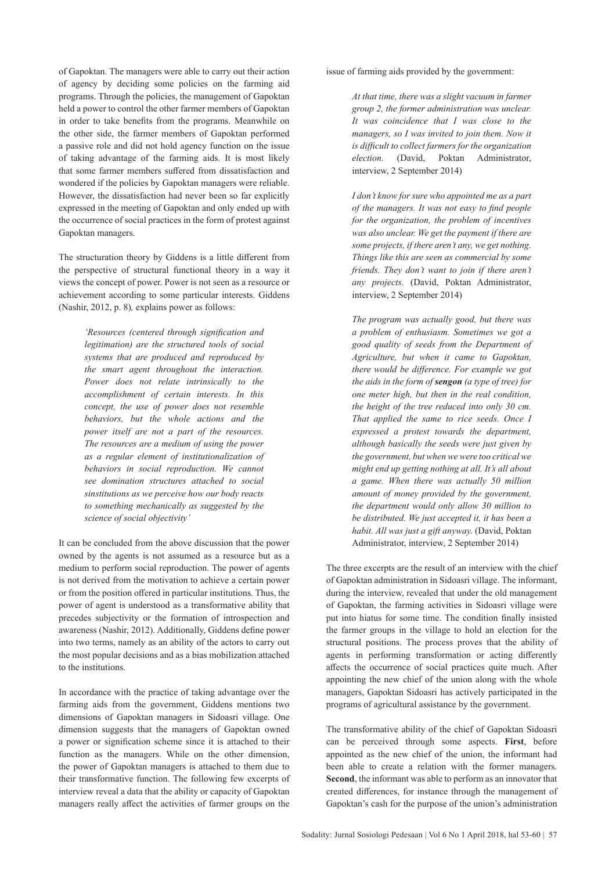of Gapoktan. The managers were able to carry out their action of agency by deciding some policies on the farming aid programs. Through the policies, the management of Gapoktan held a power to control the other farmer members of Gapoktan in order to take benefits from the programs. Meanwhile on the other side, the farmer members of Gapoktan performed a passive role and did not hold agency function on the issue of taking advantage of the farming aids. It is most likely that some farmer members suffered from dissatisfaction and wondered if the policies by Gapoktan managers were reliable. However, the dissatisfaction had never been so far explicitly expressed in the meeting of Gapoktan and only ended up with the occurrence of social practices in the form of protest against Gapoktan managers.

The structuration theory by Giddens is a little different from the perspective of structural functional theory in a way it views the concept of power. Power is not seen as a resource or achievement according to some particular interests. Giddens (Nashir, 2012, p. 8)*,* explains power as follows:

> *'Resources (centered through signification and legitimation) are the structured tools of social systems that are produced and reproduced by the smart agent throughout the interaction. Power does not relate intrinsically to the accomplishment of certain interests. In this concept, the use of power does not resemble behaviors, but the whole actions and the power itself are not a part of the resources. The resources are a medium of using the power as a regular element of institutionalization of behaviors in social reproduction. We cannot see domination structures attached to social sinstitutions as we perceive how our body reacts to something mechanically as suggested by the science of social objectivity'*

It can be concluded from the above discussion that the power owned by the agents is not assumed as a resource but as a medium to perform social reproduction. The power of agents is not derived from the motivation to achieve a certain power or from the position offered in particular institutions. Thus, the power of agent is understood as a transformative ability that precedes subjectivity or the formation of introspection and awareness (Nashir, 2012). Additionally, Giddens define power into two terms, namely as an ability of the actors to carry out the most popular decisions and as a bias mobilization attached to the institutions.

In accordance with the practice of taking advantage over the farming aids from the government, Giddens mentions two dimensions of Gapoktan managers in Sidoasri village. One dimension suggests that the managers of Gapoktan owned a power or signification scheme since it is attached to their function as the managers. While on the other dimension, the power of Gapoktan managers is attached to them due to their transformative function. The following few excerpts of interview reveal a data that the ability or capacity of Gapoktan managers really affect the activities of farmer groups on the

issue of farming aids provided by the government:

*At that time, there was a slight vacuum in farmer group 2, the former administration was unclear. It was coincidence that I was close to the managers, so I was invited to join them. Now it is difficult to collect farmers for the organization election.* (David, Poktan Administrator, interview, 2 September 2014)

*I don't know for sure who appointed me as a part of the managers. It was not easy to find people for the organization, the problem of incentives was also unclear. We get the payment if there are some projects, if there aren't any, we get nothing. Things like this are seen as commercial by some friends. They don't want to join if there aren't any projects.* (David, Poktan Administrator, interview, 2 September 2014)

*The program was actually good, but there was a problem of enthusiasm. Sometimes we got a good quality of seeds from the Department of Agriculture, but when it came to Gapoktan, there would be difference. For example we got the aids in the form of sengon (a type of tree) for one meter high, but then in the real condition, the height of the tree reduced into only 30 cm. That applied the same to rice seeds. Once I expressed a protest towards the department, although basically the seeds were just given by the government, but when we were too critical we might end up getting nothing at all. It's all about a game. When there was actually 50 million amount of money provided by the government, the department would only allow 30 million to be distributed. We just accepted it, it has been a habit. All was just a gift anyway.* (David, Poktan Administrator, interview, 2 September 2014)

The three excerpts are the result of an interview with the chief of Gapoktan administration in Sidoasri village. The informant, during the interview, revealed that under the old management of Gapoktan, the farming activities in Sidoasri village were put into hiatus for some time. The condition finally insisted the farmer groups in the village to hold an election for the structural positions. The process proves that the ability of agents in performing transformation or acting differently affects the occurrence of social practices quite much. After appointing the new chief of the union along with the whole managers, Gapoktan Sidoasri has actively participated in the programs of agricultural assistance by the government.

The transformative ability of the chief of Gapoktan Sidoasri can be perceived through some aspects. **First**, before appointed as the new chief of the union, the informant had been able to create a relation with the former managers. **Second**, the informant was able to perform as an innovator that created differences, for instance through the management of Gapoktan's cash for the purpose of the union's administration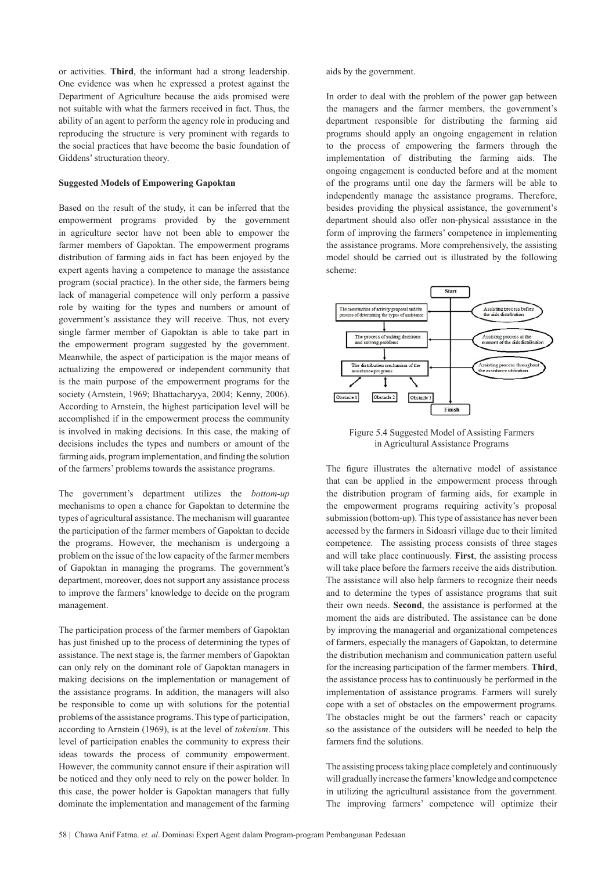or activities. **Third**, the informant had a strong leadership. One evidence was when he expressed a protest against the Department of Agriculture because the aids promised were not suitable with what the farmers received in fact. Thus, the ability of an agent to perform the agency role in producing and reproducing the structure is very prominent with regards to the social practices that have become the basic foundation of Giddens' structuration theory.

#### **Suggested Models of Empowering Gapoktan**

Based on the result of the study, it can be inferred that the empowerment programs provided by the government in agriculture sector have not been able to empower the farmer members of Gapoktan. The empowerment programs distribution of farming aids in fact has been enjoyed by the expert agents having a competence to manage the assistance program (social practice). In the other side, the farmers being lack of managerial competence will only perform a passive role by waiting for the types and numbers or amount of government's assistance they will receive. Thus, not every single farmer member of Gapoktan is able to take part in the empowerment program suggested by the government. Meanwhile, the aspect of participation is the major means of actualizing the empowered or independent community that is the main purpose of the empowerment programs for the society (Arnstein, 1969; Bhattacharyya, 2004; Kenny, 2006). According to Arnstein, the highest participation level will be accomplished if in the empowerment process the community is involved in making decisions. In this case, the making of decisions includes the types and numbers or amount of the farming aids, program implementation, and finding the solution of the farmers' problems towards the assistance programs.

The government's department utilizes the *bottom-up* mechanisms to open a chance for Gapoktan to determine the types of agricultural assistance. The mechanism will guarantee the participation of the farmer members of Gapoktan to decide the programs. However, the mechanism is undergoing a problem on the issue of the low capacity of the farmer members of Gapoktan in managing the programs. The government's department, moreover, does not support any assistance process to improve the farmers' knowledge to decide on the program management.

The participation process of the farmer members of Gapoktan has just finished up to the process of determining the types of assistance. The next stage is, the farmer members of Gapoktan can only rely on the dominant role of Gapoktan managers in making decisions on the implementation or management of the assistance programs. In addition, the managers will also be responsible to come up with solutions for the potential problems of the assistance programs. This type of participation, according to Arnstein (1969), is at the level of *tokenism*. This level of participation enables the community to express their ideas towards the process of community empowerment. However, the community cannot ensure if their aspiration will be noticed and they only need to rely on the power holder. In this case, the power holder is Gapoktan managers that fully dominate the implementation and management of the farming

aids by the government.

In order to deal with the problem of the power gap between the managers and the farmer members, the government's department responsible for distributing the farming aid programs should apply an ongoing engagement in relation to the process of empowering the farmers through the implementation of distributing the farming aids. The ongoing engagement is conducted before and at the moment of the programs until one day the farmers will be able to independently manage the assistance programs. Therefore, besides providing the physical assistance, the government's department should also offer non-physical assistance in the form of improving the farmers' competence in implementing the assistance programs. More comprehensively, the assisting model should be carried out is illustrated by the following scheme:



Figure 5.4 Suggested Model of Assisting Farmers in Agricultural Assistance Programs

The figure illustrates the alternative model of assistance that can be applied in the empowerment process through the distribution program of farming aids, for example in the empowerment programs requiring activity's proposal submission (bottom-up). This type of assistance has never been accessed by the farmers in Sidoasri village due to their limited competence. The assisting process consists of three stages and will take place continuously. **First**, the assisting process will take place before the farmers receive the aids distribution. The assistance will also help farmers to recognize their needs and to determine the types of assistance programs that suit their own needs. **Second**, the assistance is performed at the moment the aids are distributed. The assistance can be done by improving the managerial and organizational competences of farmers, especially the managers of Gapoktan, to determine the distribution mechanism and communication pattern useful for the increasing participation of the farmer members. **Third**, the assistance process has to continuously be performed in the implementation of assistance programs. Farmers will surely cope with a set of obstacles on the empowerment programs. The obstacles might be out the farmers' reach or capacity so the assistance of the outsiders will be needed to help the farmers find the solutions.

The assisting process taking place completely and continuously will gradually increase the farmers' knowledge and competence in utilizing the agricultural assistance from the government. The improving farmers' competence will optimize their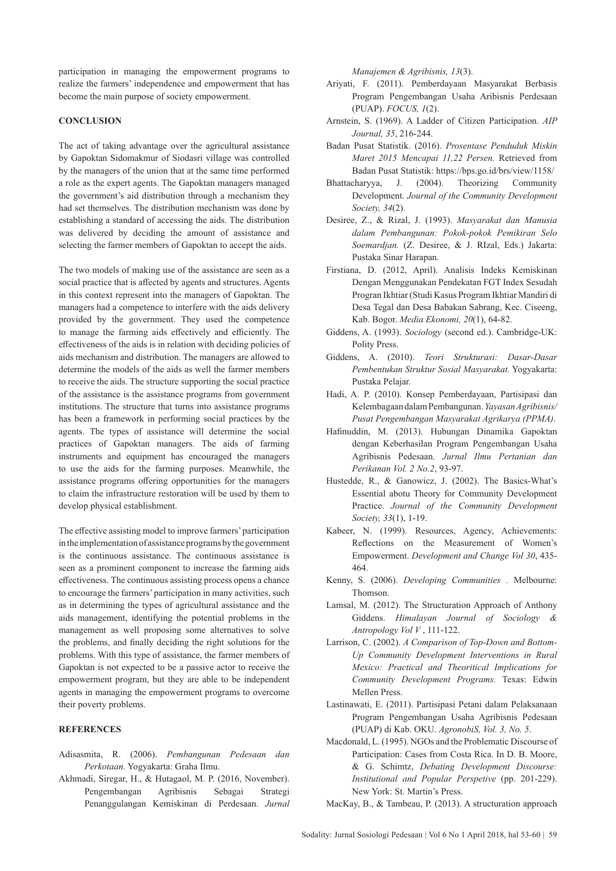participation in managing the empowerment programs to realize the farmers' independence and empowerment that has become the main purpose of society empowerment.

#### **CONCLUSION**

The act of taking advantage over the agricultural assistance by Gapoktan Sidomakmur of Siodasri village was controlled by the managers of the union that at the same time performed a role as the expert agents. The Gapoktan managers managed the government's aid distribution through a mechanism they had set themselves. The distribution mechanism was done by establishing a standard of accessing the aids. The distribution was delivered by deciding the amount of assistance and selecting the farmer members of Gapoktan to accept the aids.

The two models of making use of the assistance are seen as a social practice that is affected by agents and structures. Agents in this context represent into the managers of Gapoktan. The managers had a competence to interfere with the aids delivery provided by the government. They used the competence to manage the farming aids effectively and efficiently. The effectiveness of the aids is in relation with deciding policies of aids mechanism and distribution. The managers are allowed to determine the models of the aids as well the farmer members to receive the aids. The structure supporting the social practice of the assistance is the assistance programs from government institutions. The structure that turns into assistance programs has been a framework in performing social practices by the agents. The types of assistance will determine the social practices of Gapoktan managers. The aids of farming instruments and equipment has encouraged the managers to use the aids for the farming purposes. Meanwhile, the assistance programs offering opportunities for the managers to claim the infrastructure restoration will be used by them to develop physical establishment.

The effective assisting model to improve farmers' participation in the implementation of assistance programs by the government is the continuous assistance. The continuous assistance is seen as a prominent component to increase the farming aids effectiveness. The continuous assisting process opens a chance to encourage the farmers' participation in many activities, such as in determining the types of agricultural assistance and the aids management, identifying the potential problems in the management as well proposing some alternatives to solve the problems, and finally deciding the right solutions for the problems. With this type of assistance, the farmer members of Gapoktan is not expected to be a passive actor to receive the empowerment program, but they are able to be independent agents in managing the empowerment programs to overcome their poverty problems.

## **REFERENCES**

- Adisasmita, R. (2006). *Pembangunan Pedesaan dan Perkotaan.* Yogyakarta: Graha Ilmu.
- Akhmadi, Siregar, H., & Hutagaol, M. P. (2016, November). Pengembangan Agribisnis Sebagai Strategi Penanggulangan Kemiskinan di Perdesaan. *Jurnal*

*Manajemen & Agribisnis, 13*(3).

- Ariyati, F. (2011). Pemberdayaan Masyarakat Berbasis Program Pengembangan Usaha Aribisnis Perdesaan (PUAP). *FOCUS, 1*(2).
- Arnstein, S. (1969). A Ladder of Citizen Participation. *AIP Journal, 35*, 216-244.
- Badan Pusat Statistik. (2016). *Prosentase Penduduk Miskin Maret 2015 Mencapai 11,22 Persen.* Retrieved from Badan Pusat Statistik: https://bps.go.id/brs/view/1158/
- Bhattacharyya, J. (2004). Theorizing Community Development. *Journal of the Community Development Society, 34*(2).
- Desiree, Z., & Rizal, J. (1993). *Masyarakat dan Manusia dalam Pembangunan: Pokok-pokok Pemikiran Selo Soemardjan.* (Z. Desiree, & J. RIzal, Eds.) Jakarta: Pustaka Sinar Harapan.
- Firstiana, D. (2012, April). Analisis Indeks Kemiskinan Dengan Menggunakan Pendekatan FGT Index Sesudah Progran Ikhtiar (Studi Kasus Program Ikhtiar Mandiri di Desa Tegal dan Desa Babakan Sabrang, Kec. Ciseeng, Kab. Bogor. *Media Ekonomi, 20*(1), 64-82.
- Giddens, A. (1993). *Sociology* (second ed.). Cambridge-UK: Polity Press.
- Giddens, A. (2010). *Teori Strukturasi: Dasar-Dasar Pembentukan Struktur Sosial Masyarakat.* Yogyakarta: Pustaka Pelajar.
- Hadi, A. P. (2010). Konsep Pemberdayaan, Partisipasi dan Kelembagaan dalam Pembangunan. *Yayasan Agribisnis/ Pusat Pengembangan Masyarakat Agrikarya (PPMA)*.
- Hafinuddin, M. (2013). Hubungan Dinamika Gapoktan dengan Keberhasilan Program Pengembangan Usaha Agribisnis Pedesaan. *Jurnal Ilmu Pertanian dan Perikanan Vol. 2 No.2*, 93-97.
- Hustedde, R., & Ganowicz, J. (2002). The Basics-What's Essential abotu Theory for Community Development Practice. *Journal of the Community Development Society, 33*(1), 1-19.
- Kabeer, N. (1999). Resources, Agency, Achievements: Reflections on the Measurement of Women's Empowerment. *Development and Change Vol 30*, 435- 464.
- Kenny, S. (2006). *Developing Communities .* Melbourne: Thomson.
- Lamsal, M. (2012). The Structuration Approach of Anthony Giddens. *Himalayan Journal of Sociology & Antropology Vol V* , 111-122.
- Larrison, C. (2002). *A Comparison of Top-Down and Bottom-Up Community Development Interventions in Rural Mexico: Practical and Theoritical Implications for Community Development Programs.* Texas: Edwin Mellen Press.
- Lastinawati, E. (2011). Partisipasi Petani dalam Pelaksanaan Program Pengembangan Usaha Agribisnis Pedesaan (PUAP) di Kab. OKU. *AgronobiS, Vol. 3, No. 5*.
- Macdonald, L. (1995). NGOs and the Problematic Discourse of Participation: Cases from Costa Rica. In D. B. Moore, & G. Schimtz, *Debating Development Discourse: Institutional and Popular Perspetive* (pp. 201-229). New York: St. Martin's Press.
- MacKay, B., & Tambeau, P. (2013). A structuration approach